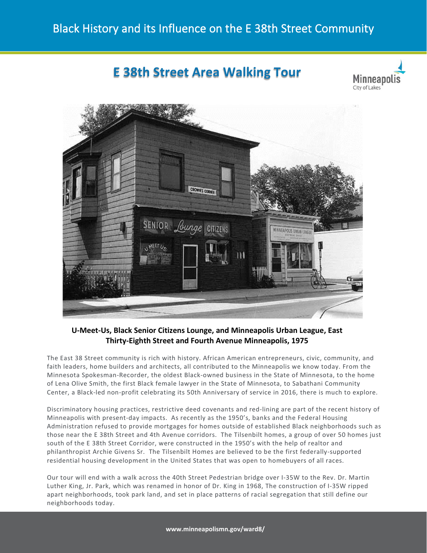# **E 38th Street Area Walking Tour**





## **U-Meet-Us, Black Senior Citizens Lounge, and Minneapolis Urban League, East Thirty-Eighth Street and Fourth Avenue Minneapolis, 1975**

The East 38 Street community is rich with history. African American entrepreneurs, civic, community, and faith leaders, home builders and architects, all contributed to the Minneapolis we know today. From the Minnesota Spokesman-Recorder, the oldest Black-owned business in the State of Minnesota, to the home of Lena Olive Smith, the first Black female lawyer in the State of Minnesota, to Sabathani Community Center, a Black-led non-profit celebrating its 50th Anniversary of service in 2016, there is much to explore.

Discriminatory housing practices, restrictive deed covenants and red-lining are part of the recent history of Minneapolis with present-day impacts. As recently as the 1950's, banks and the Federal Housing Administration refused to provide mortgages for homes outside of established Black neighborhoods such as those near the E 38th Street and 4th Avenue corridors. The Tilsenbilt homes, a group of over 50 homes just south of the E 38th Street Corridor, were constructed in the 1950's with the help of realtor and philanthropist Archie Givens Sr. The Tilsenbilt Homes are believed to be the first federally-supported residential housing development in the United States that was open to homebuyers of all races.

Our tour will end with a walk across the 40th Street Pedestrian bridge over I-35W to the Rev. Dr. Martin Luther King, Jr. Park, which was renamed in honor of Dr. King in 1968, The construction of I-35W ripped apart neighborhoods, took park land, and set in place patterns of racial segregation that still define our neighborhoods today.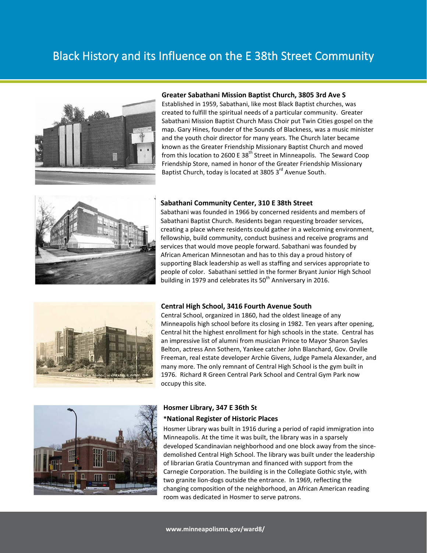# Black History and its Influence on the E 38th Street Community



#### **Greater Sabathani Mission Baptist Church, 3805 3rd Ave S**

Established in 1959, Sabathani, like most Black Baptist churches, was created to fulfill the spiritual needs of a particular community. Greater Sabathani Mission Baptist Church Mass Choir put Twin Cities gospel on the map. Gary Hines, founder of the Sounds of Blackness, was a music minister and the youth choir director for many years. The Church later became known as the Greater Friendship Missionary Baptist Church and moved from this location to 2600 E 38<sup>th</sup> Street in Minneapolis. The Seward Coop Friendship Store, named in honor of the Greater Friendship Missionary Baptist Church, today is located at 3805 3<sup>rd</sup> Avenue South.



#### **Sabathani Community Center, 310 E 38th Street**

Sabathani was founded in 1966 by concerned residents and members of Sabathani Baptist Church. Residents began requesting broader services, creating a place where residents could gather in a welcoming environment, fellowship, build community, conduct business and receive programs and services that would move people forward. Sabathani was founded by African American Minnesotan and has to this day a proud history of supporting Black leadership as well as staffing and services appropriate to people of color. Sabathani settled in the former Bryant Junior High School building in 1979 and celebrates its  $50<sup>th</sup>$  Anniversary in 2016.



#### **Central High School, 3416 Fourth Avenue South**

Central School, organized in 1860, had the oldest lineage of any Minneapolis high school before its closing in 1982. Ten years after opening, Central hit the highest enrollment for high schools in the state. Central has an impressive list of alumni from musician Prince to Mayor Sharon Sayles Belton, actress Ann Sothern, Yankee catcher John Blanchard, Gov. Orville Freeman, real estate developer Archie Givens, Judge Pamela Alexander, and many more. The only remnant of Central High School is the gym built in 1976. Richard R Green Central Park School and Central Gym Park now occupy this site.



### **Hosmer Library, 347 E 36th St \*National Register of Historic Places**

Hosmer Library was built in 1916 during a period of rapid immigration into Minneapolis. At the time it was built, the library was in a sparsely developed Scandinavian neighborhood and one block away from the sincedemolished Central High School. The library was built under the leadership of librarian Gratia Countryman and financed with support from the Carnegie Corporation. The building is in the Collegiate Gothic style, with two granite lion-dogs outside the entrance. In 1969, reflecting the changing composition of the neighborhood, an African American reading room was dedicated in Hosmer to serve patrons.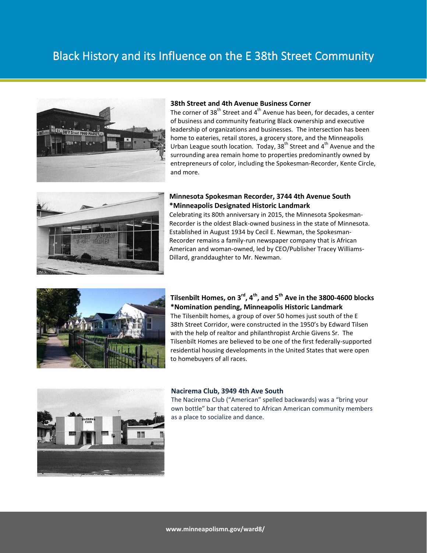# Black History and its Influence on the E 38th Street Community



### **38th Street and 4th Avenue Business Corner**

The corner of 38<sup>th</sup> Street and 4<sup>th</sup> Avenue has been, for decades, a center of business and community featuring Black ownership and executive leadership of organizations and businesses. The intersection has been home to eateries, retail stores, a grocery store, and the Minneapolis Urban League south location. Today,  $38<sup>th</sup>$  Street and  $4<sup>th</sup>$  Avenue and the surrounding area remain home to properties predominantly owned by entrepreneurs of color, including the Spokesman-Recorder, Kente Circle, and more.



### **Minnesota Spokesman Recorder, 3744 4th Avenue South \*Minneapolis Designated Historic Landmark**

Celebrating its 80th anniversary in 2015, the Minnesota Spokesman-Recorder is the oldest Black-owned business in the state of Minnesota. Established in August 1934 by Cecil E. Newman, the Spokesman-Recorder remains a family-run newspaper company that is African American and woman-owned, led by CEO/Publisher Tracey Williams-Dillard, granddaughter to Mr. Newman.



## **Tilsenbilt Homes, on 3rd, 4th, and 5th Ave in the 3800-4600 blocks \*Nomination pending, Minneapolis Historic Landmark**

The Tilsenbilt homes, a group of over 50 homes just south of the E 38th Street Corridor, were constructed in the 1950's by Edward Tilsen with the help of realtor and philanthropist Archie Givens Sr. The Tilsenbilt Homes are believed to be one of the first federally-supported residential housing developments in the United States that were open to homebuyers of all races.



#### **Nacirema Club, 3949 4th Ave South**

The Nacirema Club ("American" spelled backwards) was a "bring your own bottle" bar that catered to African American community members as a place to socialize and dance.